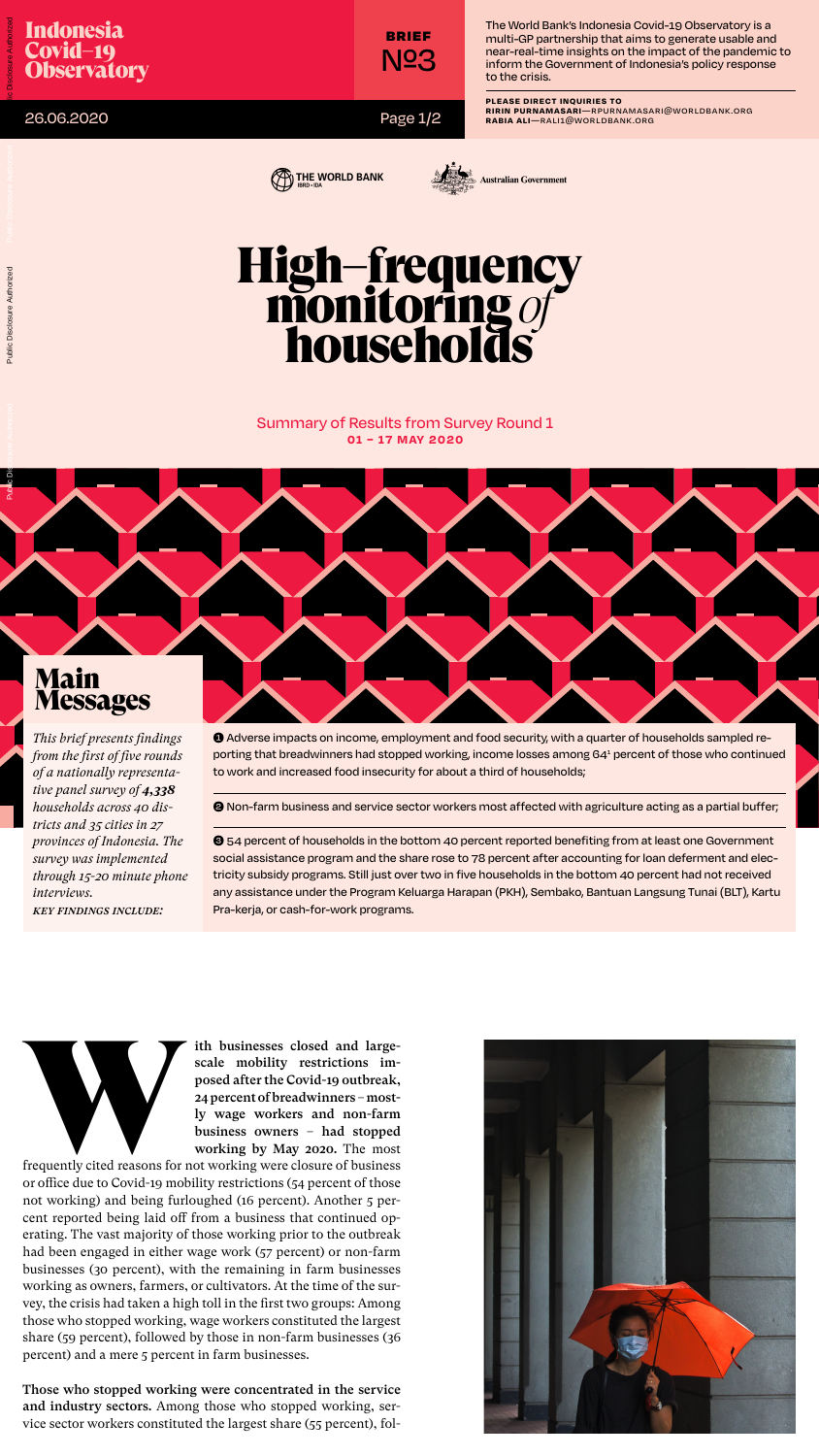## High–frequency monitorıng *of* households

26.06.2020





Summary of Results from Survey Round 1 **01 – 17 MAY 2020**

Page 1/2



The World Bank's Indonesia Covid-19 Observatory is a multi-GP partnership that aims to generate usable and near-real-time insights on the impact of the pandemic to inform the Government of Indonesia's policy response to the crisis.

*This brief presents findings from the first of five rounds of a nationally representative panel survey of 4,338 households across 40 districts and 35 cities in 27 provinces of Indonesia. The survey was implemented through 15-20 minute phone interviews. Key findings include:*

➊ Adverse impacts on income, employment and food security, with a quarter of households sampled reporting that breadwinners had stopped working, income losses among 641 percent of those who continued to work and increased food insecurity for about a third of households;

ith businesses closed and large-<br>scale mobility restrictions im-<br>posed after the Covid-19 outbreak,<br>24 percent of breadwinners – most-<br>ly wage workers and non-farm<br>business owners – had stopped<br>working by May 2020. The mos scale mobility restrictions imposed after the Covid-19 outbreak, 24 percent of breadwinners – mostly wage workers and non-farm business owners – had stopped working by May 2020. The most

➋ Non-farm business and service sector workers most affected with agriculture acting as a partial buffer;

➌ 54 percent of households in the bottom 40 percent reported benefiting from at least one Government social assistance program and the share rose to 78 percent after accounting for loan deferment and electricity subsidy programs. Still just over two in five households in the bottom 40 percent had not received any assistance under the Program Keluarga Harapan (PKH), Sembako, Bantuan Langsung Tunai (BLT), Kartu Pra-kerja, or cash-for-work programs.





frequently cited reasons for not working were closure of business or office due to Covid-19 mobility restrictions (54 percent of those not working) and being furloughed (16 percent). Another 5 percent reported being laid off from a business that continued operating. The vast majority of those working prior to the outbreak had been engaged in either wage work (57 percent) or non-farm businesses (30 percent), with the remaining in farm businesses working as owners, farmers, or cultivators. At the time of the survey, the crisis had taken a high toll in the first two groups: Among those who stopped working, wage workers constituted the largest share (59 percent), followed by those in non-farm businesses (36 percent) and a mere 5 percent in farm businesses.



## Those who stopped working were concentrated in the service and industry sectors. Among those who stopped working, service sector workers constituted the largest share (55 percent), fol-

**Please direct Inquiries to**

**Ririn Purnamasari**—rpurnamasari@worldbank.org

**Rabia Ali**—rali1@worldbank.org

Brief №3

Public Disclosure Authorized

## **Messages**